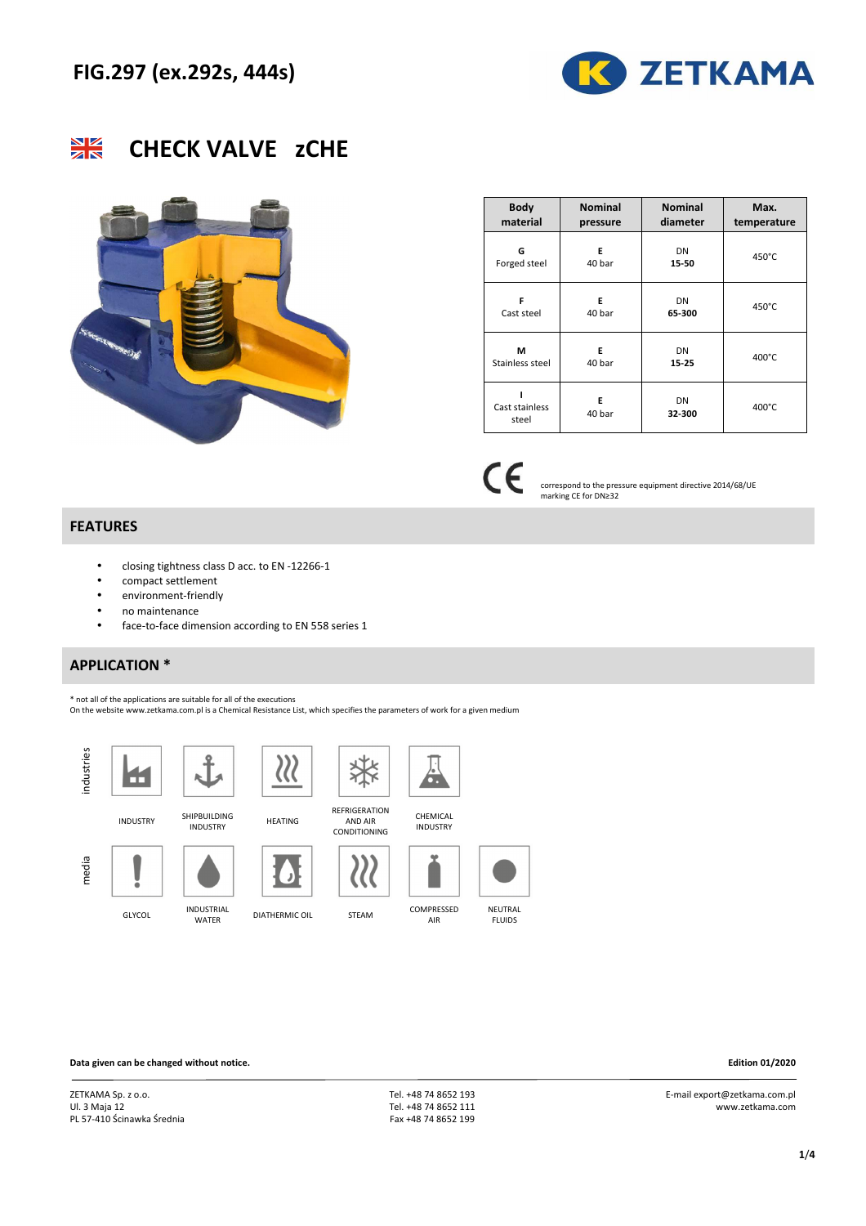





| <b>Body</b>     | <b>Nominal</b> | <b>Nominal</b> | Max.        |
|-----------------|----------------|----------------|-------------|
| material        | pressure       | diameter       | temperature |
| G               | E              | DN             | 450°C       |
| Forged steel    | 40 bar         | 15-50          |             |
| F               | E              | DN             | 450°C       |
| Cast steel      | 40 bar         | 65-300         |             |
| м               | E              | DN             | 400°C       |
| Stainless steel | 40 bar         | $15 - 25$      |             |
| Cast stainless  | E              | DN             | 400°C       |
| steel           | 40 bar         | 32-300         |             |

 $\epsilon$ correspond to the pressure equipment directive 2014/68/UE marking CE for DN≥32

#### **FEATURES**

- closing tightness class D acc. to EN -12266-1
- compact settlement
- environment-friendly
- no maintenance
- face-to-face dimension according to EN 558 series 1

### **APPLICATION \***

\* not all of the applications are suitable for all of the executions

On the website www.zetkama.com.pl is a Chemical Resistance List, which specifies the parameters of work for a given medium

HEATING

**J** 

 $\chi$ 



media





INDUSTRY SHIPBUILDING

GLYCOL INDUSTRIAL

AND AIR CONDITIONING

**REFRIGERATION** 

 $\widetilde{\mathcal{U}}$ 

柒



**CHEMICAL** INDUSTRY



AIR



DIATHERMIC OIL STEAM COMPRESSED **NEUTRAL** FLUIDS

**Data given can be changed without notice. Edition 01/2020** 

ZETKAMA Sp. z o.o. Ul. 3 Maja 12 PL 57-410 Ścinawka Średnia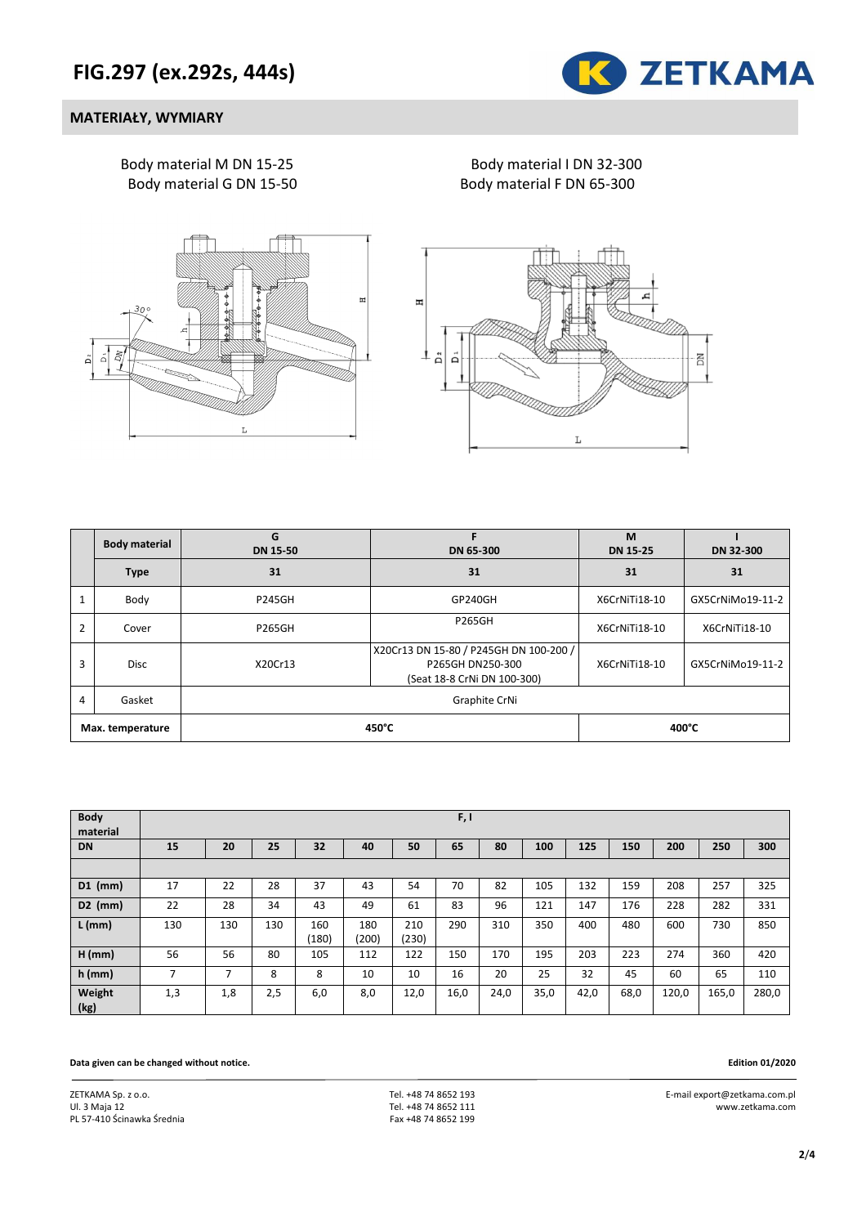

#### **MATERIAŁY, WYMIARY**

Body material M DN 15-25 Body material I DN 32-300 Body material G DN 15-50 Body material F DN 65-300





|                  | <b>Body material</b>    | G<br><b>DN 15-50</b> | DN 65-300                                                                                 | M<br><b>DN 15-25</b> | DN 32-300        |  |  |
|------------------|-------------------------|----------------------|-------------------------------------------------------------------------------------------|----------------------|------------------|--|--|
|                  | 31<br><b>Type</b>       |                      | 31                                                                                        | 31                   | 31               |  |  |
|                  | Body                    | <b>P245GH</b>        | GP240GH                                                                                   | X6CrNiTi18-10        | GX5CrNiMo19-11-2 |  |  |
| $\overline{2}$   | Cover                   | <b>P265GH</b>        | <b>P265GH</b>                                                                             | X6CrNiTi18-10        | X6CrNiTi18-10    |  |  |
| 3                | <b>Disc</b>             | X20Cr13              | X20Cr13 DN 15-80 / P245GH DN 100-200 /<br>P265GH DN250-300<br>(Seat 18-8 CrNi DN 100-300) | X6CrNiTi18-10        | GX5CrNiMo19-11-2 |  |  |
| 4                | Graphite CrNi<br>Gasket |                      |                                                                                           |                      |                  |  |  |
| Max. temperature |                         |                      | 450°C                                                                                     |                      | 400°C            |  |  |

| <b>Body</b><br>material |                          |     |     |              |              |              | F, I |      |      |      |      |       |       |       |
|-------------------------|--------------------------|-----|-----|--------------|--------------|--------------|------|------|------|------|------|-------|-------|-------|
| <b>DN</b>               | 15                       | 20  | 25  | 32           | 40           | 50           | 65   | 80   | 100  | 125  | 150  | 200   | 250   | 300   |
|                         |                          |     |     |              |              |              |      |      |      |      |      |       |       |       |
| $D1$ (mm)               | 17                       | 22  | 28  | 37           | 43           | 54           | 70   | 82   | 105  | 132  | 159  | 208   | 257   | 325   |
| $D2$ (mm)               | 22                       | 28  | 34  | 43           | 49           | 61           | 83   | 96   | 121  | 147  | 176  | 228   | 282   | 331   |
| $L$ (mm)                | 130                      | 130 | 130 | 160<br>(180) | 180<br>(200) | 210<br>(230) | 290  | 310  | 350  | 400  | 480  | 600   | 730   | 850   |
| $H$ (mm)                | 56                       | 56  | 80  | 105          | 112          | 122          | 150  | 170  | 195  | 203  | 223  | 274   | 360   | 420   |
| $h$ (mm)                | $\overline{\phantom{a}}$ | 7   | 8   | 8            | 10           | 10           | 16   | 20   | 25   | 32   | 45   | 60    | 65    | 110   |
| Weight<br>(kg)          | 1,3                      | 1,8 | 2,5 | 6,0          | 8,0          | 12,0         | 16,0 | 24,0 | 35,0 | 42,0 | 68,0 | 120,0 | 165,0 | 280,0 |

**Data given can be changed without notice. Edition 01/2020** 

ZETKAMA Sp. z o.o. Ul. 3 Maja 12 PL 57-410 Ścinawka Średnia

 Tel. +48 74 8652 193 Tel. +48 74 8652 111 Fax +48 74 8652 199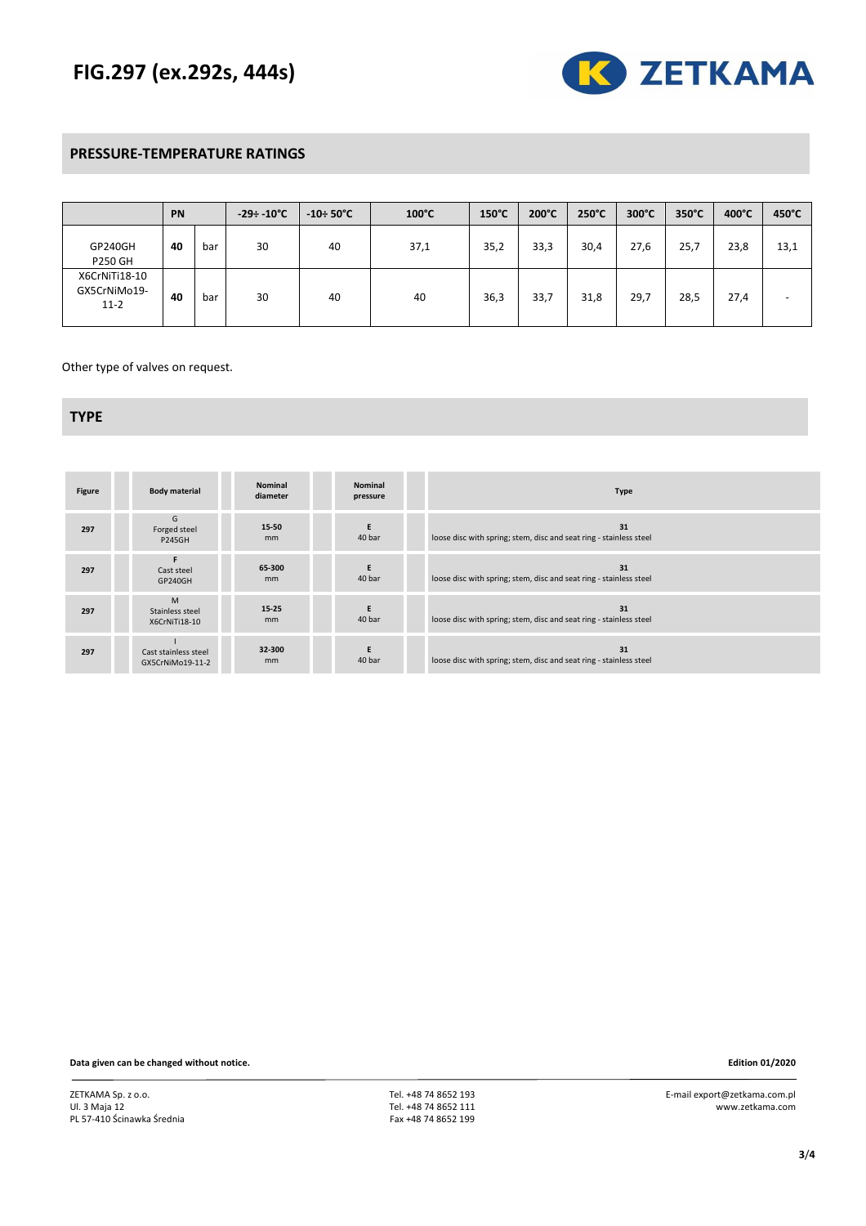# **FIG.297 (ex.292s, 444s)**



## **PRESSURE-TEMPERATURE RATINGS**

|                                         | PN |     | $-29 \div 10^{\circ}$ C | $-10 \div 50^{\circ}$ C | $100^{\circ}$ C | $150^{\circ}$ C | 200°C | 250°C | 300°C | $350^{\circ}$ C | $400^{\circ}$ C | 450°C |
|-----------------------------------------|----|-----|-------------------------|-------------------------|-----------------|-----------------|-------|-------|-------|-----------------|-----------------|-------|
| GP240GH<br><b>P250 GH</b>               | 40 | bar | 30                      | 40                      | 37,1            | 35,2            | 33,3  | 30,4  | 27,6  | 25,7            | 23,8            | 13,1  |
| X6CrNiTi18-10<br>GX5CrNiMo19-<br>$11-2$ | 40 | bar | 30                      | 40                      | 40              | 36,3            | 33,7  | 31,8  | 29,7  | 28,5            | 27,4            | -     |

Other type of valves on request.

#### **TYPE**

| <b>Figure</b> | <b>Body material</b>                     | <b>Nominal</b><br>diameter | <b>Nominal</b><br>pressure | <b>Type</b>                                                              |
|---------------|------------------------------------------|----------------------------|----------------------------|--------------------------------------------------------------------------|
| 297           | G<br>Forged steel<br><b>P245GH</b>       | 15-50<br>mm                | E<br>40 bar                | 31<br>loose disc with spring; stem, disc and seat ring - stainless steel |
| 297           | Cast steel<br>GP240GH                    | 65-300<br>mm               | E<br>40 bar                | 31<br>loose disc with spring; stem, disc and seat ring - stainless steel |
| 297           | M<br>Stainless steel<br>X6CrNiTi18-10    | 15-25<br>mm                | E<br>40 bar                | 31<br>loose disc with spring; stem, disc and seat ring - stainless steel |
| 297           | Cast stainless steel<br>GX5CrNiMo19-11-2 | 32-300<br>mm               | E<br>40 bar                | 31<br>loose disc with spring; stem, disc and seat ring - stainless steel |

**Data given can be changed without notice. Edition 01/2020**